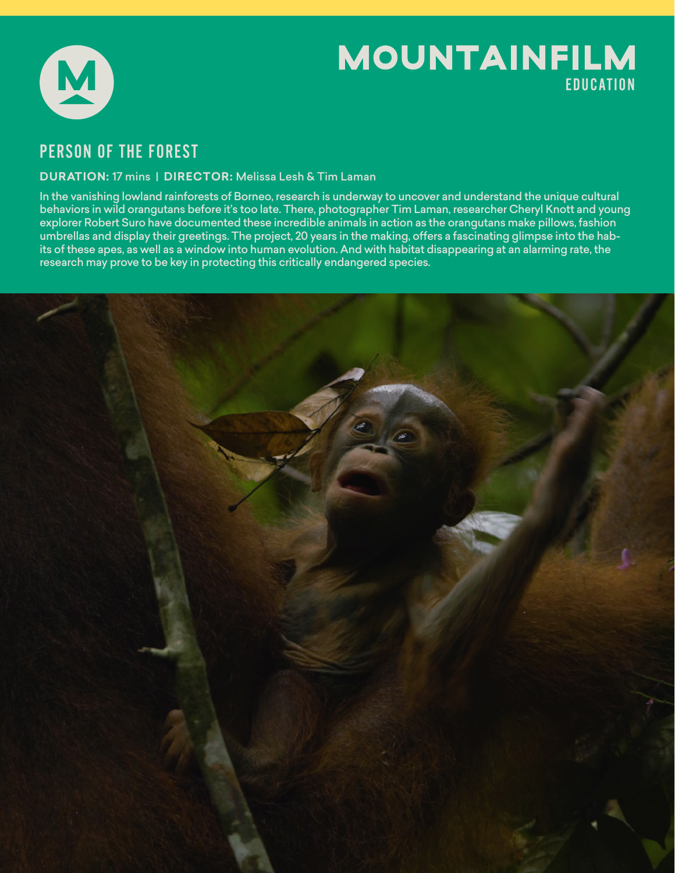

# **MOUNTAINFILM** EDUCATION

## PERSON OF THE FOREST

### **DURATION:** 17 mins | **DIRECTOR:** Melissa Lesh & Tim Laman

In the vanishing lowland rainforests of Borneo, research is underway to uncover and understand the unique cultural behaviors in wild orangutans before it's too late. There, photographer Tim Laman, researcher Cheryl Knott and young explorer Robert Suro have documented these incredible animals in action as the orangutans make pillows, fashion umbrellas and display their greetings. The project, 20 years in the making, offers a fascinating glimpse into the habits of these apes, as well as a window into human evolution. And with habitat disappearing at an alarming rate, the research may prove to be key in protecting this critically endangered species.

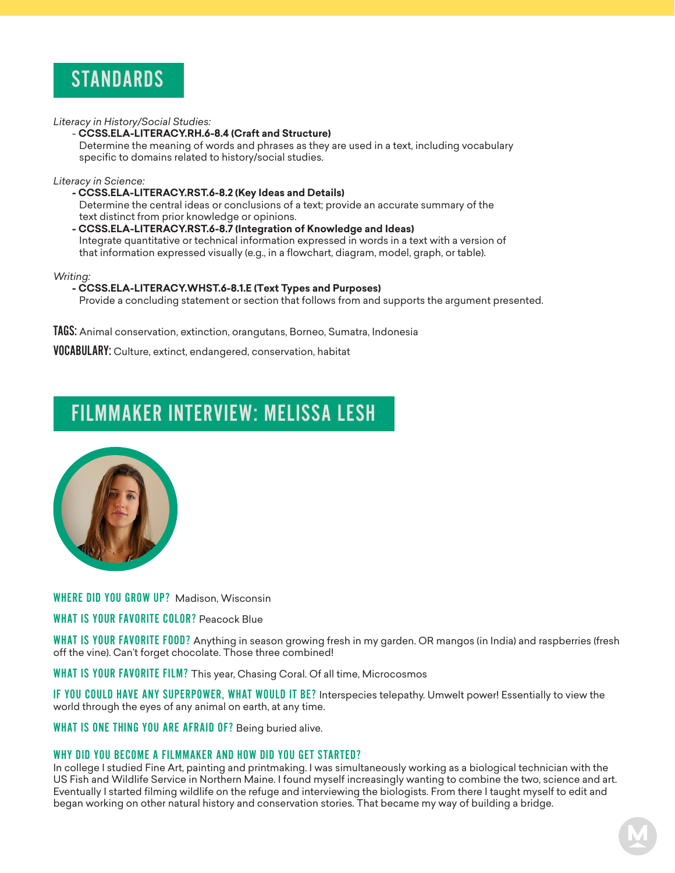

*Literacy in History/Social Studies:* 

#### - **CCSS.ELA-LITERACY.RH.6-8.4 (Craft and Structure)**

 Determine the meaning of words and phrases as they are used in a text, including vocabulary specific to domains related to history/social studies.

*Literacy in Science:*

- **CCSS.ELA-LITERACY.RST.6-8.2 (Key Ideas and Details)** Determine the central ideas or conclusions of a text; provide an accurate summary of the text distinct from prior knowledge or opinions.
- **CCSS.ELA-LITERACY.RST.6-8.7 (Integration of Knowledge and Ideas)** Integrate quantitative or technical information expressed in words in a text with a version of that information expressed visually (e.g., in a flowchart, diagram, model, graph, or table).

*Writing:*

#### **- CCSS.ELA-LITERACY.WHST.6-8.1.E (Text Types and Purposes)**

Provide a concluding statement or section that follows from and supports the argument presented.

TAGS: Animal conservation, extinction, orangutans, Borneo, Sumatra, Indonesia

VOCABULARY: Culture, extinct, endangered, conservation, habitat

## FILMMAKER INTERVIEW: MELISSA LESH



WHERE DID YOU GROW UP? Madison, Wisconsin

WHAT IS YOUR FAVORITE COLOR? Peacock Blue

WHAT IS YOUR FAVORITE FOOD? Anything in season growing fresh in my garden. OR mangos (in India) and raspberries (fresh off the vine). Can't forget chocolate. Those three combined!

WHAT IS YOUR FAVORITE FILM? This year, Chasing Coral. Of all time, Microcosmos

IF YOU COULD HAVE ANY SUPERPOWER, WHAT WOULD IT BE? Interspecies telepathy. Umwelt power! Essentially to view the world through the eyes of any animal on earth, at any time.

WHAT IS ONE THING YOU ARE AFRAID OF? Being buried alive.

#### WHY DID YOU BECOME A FILMMAKER AND HOW DID YOU GET STARTED?

In college I studied Fine Art, painting and printmaking. I was simultaneously working as a biological technician with the US Fish and Wildlife Service in Northern Maine. I found myself increasingly wanting to combine the two, science and art. Eventually I started filming wildlife on the refuge and interviewing the biologists. From there I taught myself to edit and began working on other natural history and conservation stories. That became my way of building a bridge.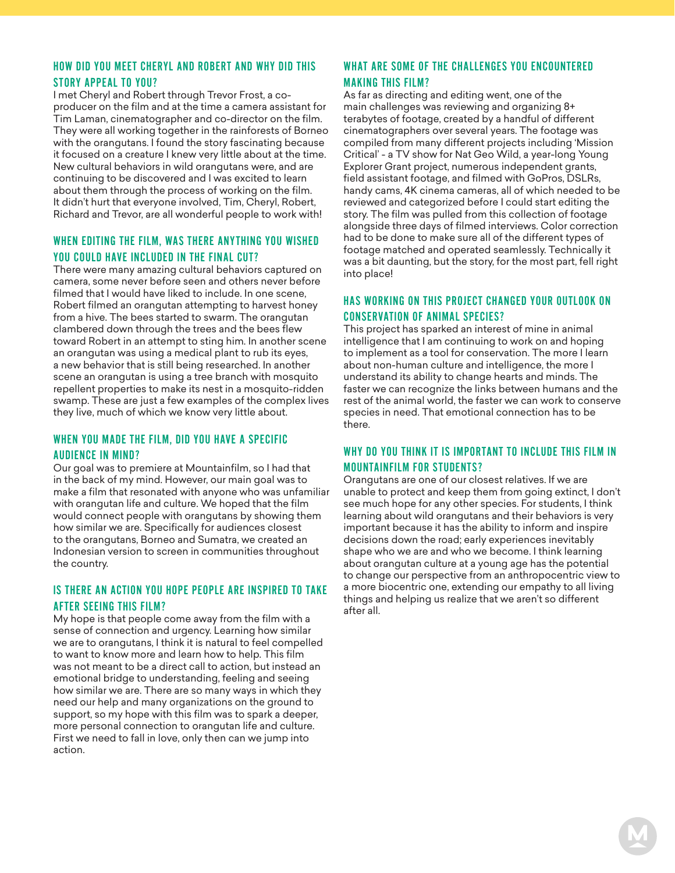#### HOW DID YOU MEET CHERYL AND ROBERT AND WHY DID THIS STORY APPEAL TO YOU?

I met Cheryl and Robert through Trevor Frost, a coproducer on the film and at the time a camera assistant for Tim Laman, cinematographer and co-director on the film. They were all working together in the rainforests of Borneo with the orangutans. I found the story fascinating because it focused on a creature I knew very little about at the time. New cultural behaviors in wild orangutans were, and are continuing to be discovered and I was excited to learn about them through the process of working on the film. It didn't hurt that everyone involved, Tim, Cheryl, Robert, Richard and Trevor, are all wonderful people to work with!

#### WHEN EDITING THE FILM, WAS THERE ANYTHING YOU WISHED YOU COULD HAVE INCLUDED IN THE FINAL CUT?

There were many amazing cultural behaviors captured on camera, some never before seen and others never before filmed that I would have liked to include. In one scene, Robert filmed an orangutan attempting to harvest honey from a hive. The bees started to swarm. The orangutan clambered down through the trees and the bees flew toward Robert in an attempt to sting him. In another scene an orangutan was using a medical plant to rub its eyes, a new behavior that is still being researched. In another scene an orangutan is using a tree branch with mosquito repellent properties to make its nest in a mosquito-ridden swamp. These are just a few examples of the complex lives they live, much of which we know very little about.

#### WHEN YOU MADE THE FILM, DID YOU HAVE A SPECIFIC AUDIENCE IN MIND?

Our goal was to premiere at Mountainfilm, so I had that in the back of my mind. However, our main goal was to make a film that resonated with anyone who was unfamiliar with orangutan life and culture. We hoped that the film would connect people with orangutans by showing them how similar we are. Specifically for audiences closest to the orangutans, Borneo and Sumatra, we created an Indonesian version to screen in communities throughout the country.

### IS THERE AN ACTION YOU HOPE PEOPLE ARE INSPIRED TO TAKE AFTER SEEING THIS FILM?

My hope is that people come away from the film with a sense of connection and urgency. Learning how similar we are to orangutans, I think it is natural to feel compelled to want to know more and learn how to help. This film was not meant to be a direct call to action, but instead an emotional bridge to understanding, feeling and seeing how similar we are. There are so many ways in which they need our help and many organizations on the ground to support, so my hope with this film was to spark a deeper, more personal connection to orangutan life and culture. First we need to fall in love, only then can we jump into action.

#### WHAT ARE SOME OF THE CHALLENGES YOU ENCOUNTERED MAKING THIS FILM?

As far as directing and editing went, one of the main challenges was reviewing and organizing 8+ terabytes of footage, created by a handful of different cinematographers over several years. The footage was compiled from many different projects including 'Mission Critical' - a TV show for Nat Geo Wild, a year-long Young Explorer Grant project, numerous independent grants, field assistant footage, and filmed with GoPros, DSLRs, handy cams, 4K cinema cameras, all of which needed to be reviewed and categorized before I could start editing the story. The film was pulled from this collection of footage alongside three days of filmed interviews. Color correction had to be done to make sure all of the different types of footage matched and operated seamlessly. Technically it was a bit daunting, but the story, for the most part, fell right into place!

### HAS WORKING ON THIS PROJECT CHANGED YOUR OUTLOOK ON CONSERVATION OF ANIMAL SPECIES?

This project has sparked an interest of mine in animal intelligence that I am continuing to work on and hoping to implement as a tool for conservation. The more I learn about non-human culture and intelligence, the more I understand its ability to change hearts and minds. The faster we can recognize the links between humans and the rest of the animal world, the faster we can work to conserve species in need. That emotional connection has to be there.

#### WHY DO YOU THINK IT IS IMPORTANT TO INCLUDE THIS FILM IN MOUNTAINFILM FOR STUDENTS?

Orangutans are one of our closest relatives. If we are unable to protect and keep them from going extinct, I don't see much hope for any other species. For students, I think learning about wild orangutans and their behaviors is very important because it has the ability to inform and inspire decisions down the road; early experiences inevitably shape who we are and who we become. I think learning about orangutan culture at a young age has the potential to change our perspective from an anthropocentric view to a more biocentric one, extending our empathy to all living things and helping us realize that we aren't so different after all.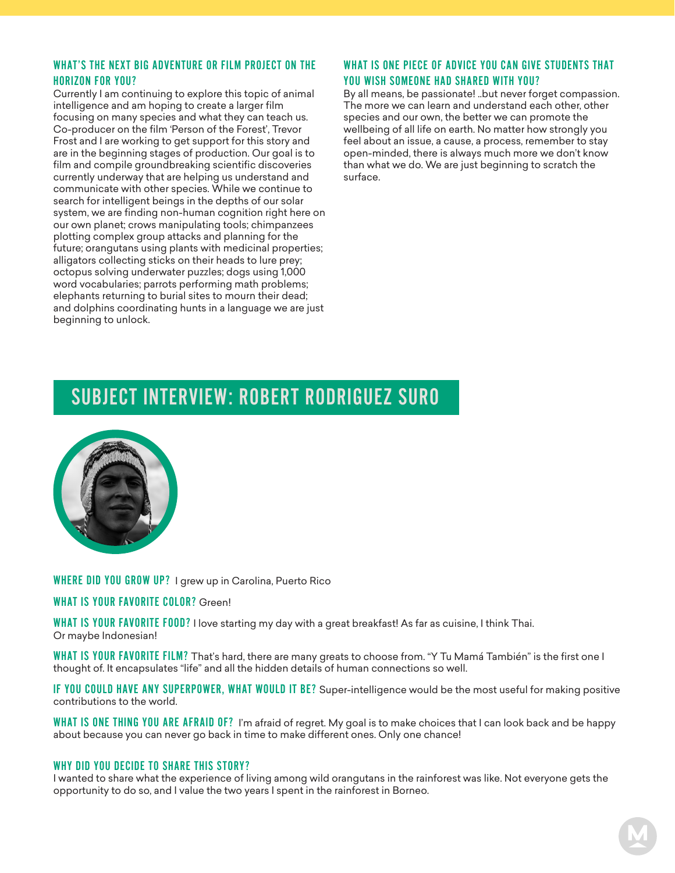#### WHAT'S THE NEXT BIG ADVENTURE OR FILM PROJECT ON THE HORIZON FOR YOU?

Currently I am continuing to explore this topic of animal intelligence and am hoping to create a larger film focusing on many species and what they can teach us. Co-producer on the film 'Person of the Forest', Trevor Frost and I are working to get support for this story and are in the beginning stages of production. Our goal is to film and compile groundbreaking scientific discoveries currently underway that are helping us understand and communicate with other species. While we continue to search for intelligent beings in the depths of our solar system, we are finding non-human cognition right here on our own planet; crows manipulating tools; chimpanzees plotting complex group attacks and planning for the future; orangutans using plants with medicinal properties; alligators collecting sticks on their heads to lure prey; octopus solving underwater puzzles; dogs using 1,000 word vocabularies; parrots performing math problems; elephants returning to burial sites to mourn their dead; and dolphins coordinating hunts in a language we are just beginning to unlock.

## WHAT IS ONE PIECE OF ADVICE YOU CAN GIVE STUDENTS THAT YOU WISH SOMEONE HAD SHARED WITH YOU?

By all means, be passionate! ..but never forget compassion. The more we can learn and understand each other, other species and our own, the better we can promote the wellbeing of all life on earth. No matter how strongly you feel about an issue, a cause, a process, remember to stay open-minded, there is always much more we don't know than what we do. We are just beginning to scratch the surface.

## SUBJECT INTERVIEW: ROBERT RODRIGUEZ SURO



WHERE DID YOU GROW UP? I grew up in Carolina, Puerto Rico

#### WHAT IS YOUR FAVORITE COLOR? Green!

WHAT IS YOUR FAVORITE FOOD? I love starting my day with a great breakfast! As far as cuisine, I think Thai. Or maybe Indonesian!

WHAT IS YOUR FAVORITE FILM? That's hard, there are many greats to choose from. "Y Tu Mamá También" is the first one I thought of. It encapsulates "life" and all the hidden details of human connections so well.

IF YOU COULD HAVE ANY SUPERPOWER, WHAT WOULD IT BE? Super-intelligence would be the most useful for making positive contributions to the world.

WHAT IS ONE THING YOU ARE AFRAID OF? I'm afraid of regret. My goal is to make choices that I can look back and be happy about because you can never go back in time to make different ones. Only one chance!

#### WHY DID YOU DECIDE TO SHARE THIS STORY?

I wanted to share what the experience of living among wild orangutans in the rainforest was like. Not everyone gets the opportunity to do so, and I value the two years I spent in the rainforest in Borneo.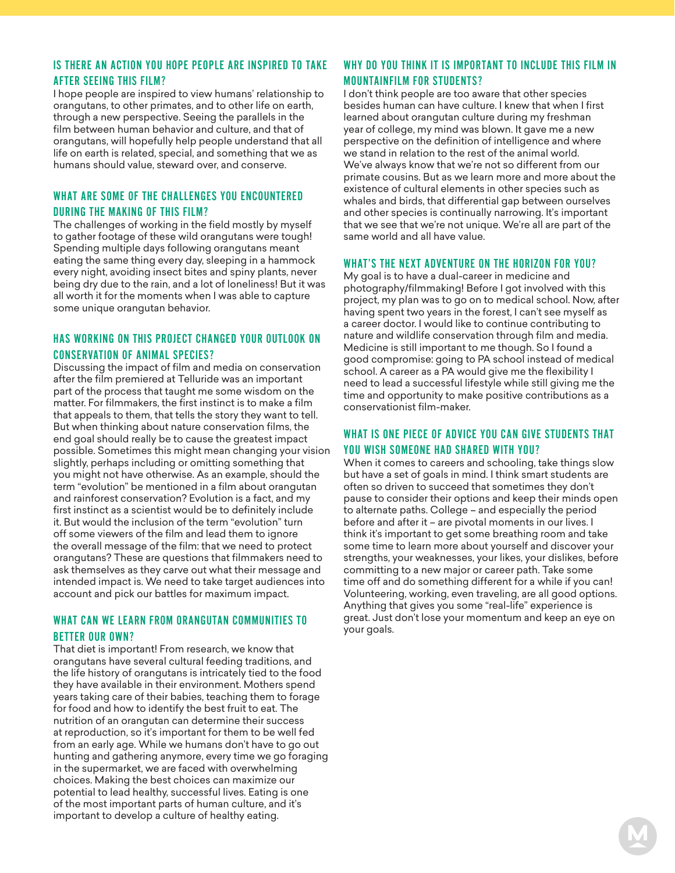### IS THERE AN ACTION YOU HOPE PEOPLE ARE INSPIRED TO TAKE AFTER SEEING THIS FILM?

I hope people are inspired to view humans' relationship to orangutans, to other primates, and to other life on earth, through a new perspective. Seeing the parallels in the film between human behavior and culture, and that of orangutans, will hopefully help people understand that all life on earth is related, special, and something that we as humans should value, steward over, and conserve.

#### WHAT ARE SOME OF THE CHALLENGES YOU ENCOUNTERED DURING THE MAKING OF THIS FILM?

The challenges of working in the field mostly by myself to gather footage of these wild orangutans were tough! Spending multiple days following orangutans meant eating the same thing every day, sleeping in a hammock every night, avoiding insect bites and spiny plants, never being dry due to the rain, and a lot of loneliness! But it was all worth it for the moments when I was able to capture some unique orangutan behavior.

#### HAS WORKING ON THIS PROJECT CHANGED YOUR OUTLOOK ON CONSERVATION OF ANIMAL SPECIES?

Discussing the impact of film and media on conservation after the film premiered at Telluride was an important part of the process that taught me some wisdom on the matter. For filmmakers, the first instinct is to make a film that appeals to them, that tells the story they want to tell. But when thinking about nature conservation films, the end goal should really be to cause the greatest impact possible. Sometimes this might mean changing your vision slightly, perhaps including or omitting something that you might not have otherwise. As an example, should the term "evolution" be mentioned in a film about orangutan and rainforest conservation? Evolution is a fact, and my first instinct as a scientist would be to definitely include it. But would the inclusion of the term "evolution" turn off some viewers of the film and lead them to ignore the overall message of the film: that we need to protect orangutans? These are questions that filmmakers need to ask themselves as they carve out what their message and intended impact is. We need to take target audiences into account and pick our battles for maximum impact.

#### WHAT CAN WE LEARN FROM ORANGUTAN COMMUNITIES TO BETTER OUR OWN?

That diet is important! From research, we know that orangutans have several cultural feeding traditions, and the life history of orangutans is intricately tied to the food they have available in their environment. Mothers spend years taking care of their babies, teaching them to forage for food and how to identify the best fruit to eat. The nutrition of an orangutan can determine their success at reproduction, so it's important for them to be well fed from an early age. While we humans don't have to go out hunting and gathering anymore, every time we go foraging in the supermarket, we are faced with overwhelming choices. Making the best choices can maximize our potential to lead healthy, successful lives. Eating is one of the most important parts of human culture, and it's important to develop a culture of healthy eating.

## WHY DO YOU THINK IT IS IMPORTANT TO INCLUDE THIS FILM IN MOUNTAINFILM FOR STUDENTS?

I don't think people are too aware that other species besides human can have culture. I knew that when I first learned about orangutan culture during my freshman year of college, my mind was blown. It gave me a new perspective on the definition of intelligence and where we stand in relation to the rest of the animal world. We've always know that we're not so different from our primate cousins. But as we learn more and more about the existence of cultural elements in other species such as whales and birds, that differential gap between ourselves and other species is continually narrowing. It's important that we see that we're not unique. We're all are part of the same world and all have value.

### WHAT'S THE NEXT ADVENTURE ON THE HORIZON FOR YOU?

My goal is to have a dual-career in medicine and photography/filmmaking! Before I got involved with this project, my plan was to go on to medical school. Now, after having spent two years in the forest, I can't see myself as a career doctor. I would like to continue contributing to nature and wildlife conservation through film and media. Medicine is still important to me though. So I found a good compromise: going to PA school instead of medical school. A career as a PA would give me the flexibility I need to lead a successful lifestyle while still giving me the time and opportunity to make positive contributions as a conservationist film-maker.

### WHAT IS ONE PIECE OF ADVICE YOU CAN GIVE STUDENTS THAT YOU WISH SOMEONE HAD SHARED WITH YOU?

When it comes to careers and schooling, take things slow but have a set of goals in mind. I think smart students are often so driven to succeed that sometimes they don't pause to consider their options and keep their minds open to alternate paths. College – and especially the period before and after it – are pivotal moments in our lives. I think it's important to get some breathing room and take some time to learn more about yourself and discover your strengths, your weaknesses, your likes, your dislikes, before committing to a new major or career path. Take some time off and do something different for a while if you can! Volunteering, working, even traveling, are all good options. Anything that gives you some "real-life" experience is great. Just don't lose your momentum and keep an eye on your goals.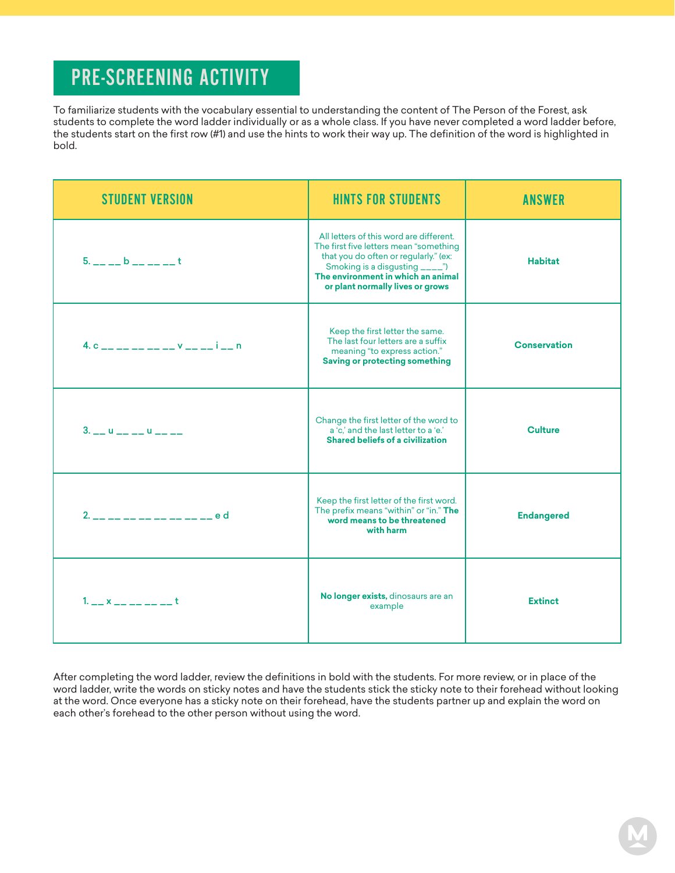## PRE-SCREENING ACTIVITY

To familiarize students with the vocabulary essential to understanding the content of The Person of the Forest, ask students to complete the word ladder individually or as a whole class. If you have never completed a word ladder before, the students start on the first row (#1) and use the hints to work their way up. The definition of the word is highlighted in bold.

| <b>STUDENT VERSION</b>                                                                                 | <b>HINTS FOR STUDENTS</b>                                                                                                                                                                                                               | <b>ANSWER</b>       |
|--------------------------------------------------------------------------------------------------------|-----------------------------------------------------------------------------------------------------------------------------------------------------------------------------------------------------------------------------------------|---------------------|
| $5.$ $   b$ $    t$                                                                                    | All letters of this word are different.<br>The first five letters mean "something<br>that you do often or regularly." (ex:<br>Smoking is a disgusting _____")<br>The environment in which an animal<br>or plant normally lives or grows | <b>Habitat</b>      |
| 4. $c_{-}$ $c_{-}$ $c_{-}$ $c_{-}$ $c_{-}$ $c_{-}$ $c_{-}$ $c_{-}$ $c_{-}$ $c_{-}$ $c_{-}$ $c_{-}$ $n$ | Keep the first letter the same.<br>The last four letters are a suffix<br>meaning "to express action."<br><b>Saving or protecting something</b>                                                                                          | <b>Conservation</b> |
| $3. - 0 - - - 0 - - -$                                                                                 | Change the first letter of the word to<br>a 'c,' and the last letter to a 'e.'<br>Shared beliefs of a civilization                                                                                                                      | <b>Culture</b>      |
| 2. __ __ __ __ __ __ __ __ __ e d                                                                      | Keep the first letter of the first word.<br>The prefix means "within" or "in." The<br>word means to be threatened<br>with harm                                                                                                          | <b>Endangered</b>   |
| $1. - x - - - -$                                                                                       | No longer exists, dinosaurs are an<br>example                                                                                                                                                                                           | <b>Extinct</b>      |

After completing the word ladder, review the definitions in bold with the students. For more review, or in place of the word ladder, write the words on sticky notes and have the students stick the sticky note to their forehead without looking at the word. Once everyone has a sticky note on their forehead, have the students partner up and explain the word on each other's forehead to the other person without using the word.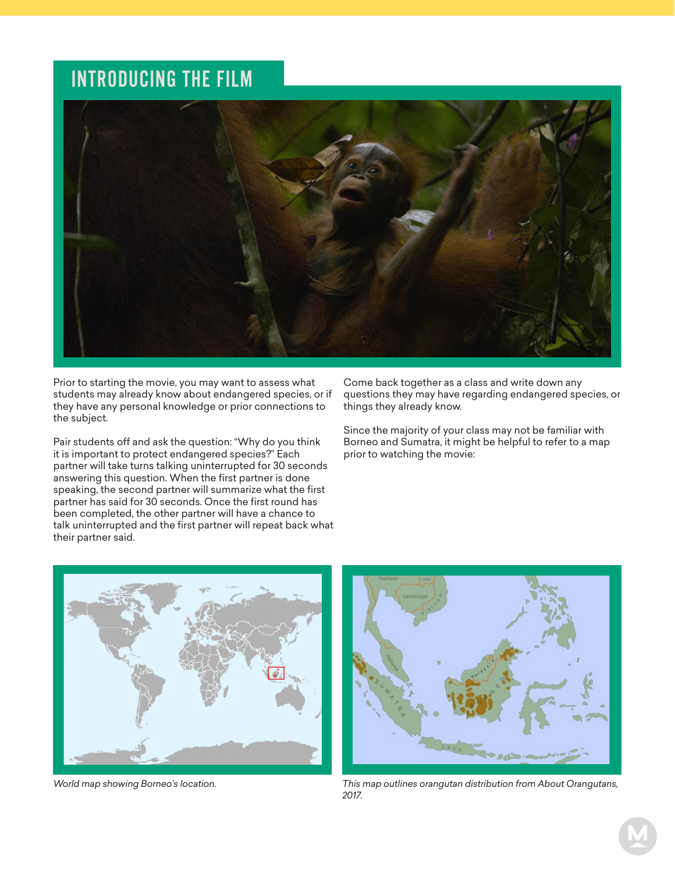## INTRODUCING THE FILM



Prior to starting the movie, you may want to assess what students may already know about endangered species, or if they have any personal knowledge or prior connections to the subject.

Pair students off and ask the question: "Why do you think it is important to protect endangered species?" Each partner will take turns talking uninterrupted for 30 seconds answering this question. When the first partner is done speaking, the second partner will summarize what the first partner has said for 30 seconds. Once the first round has been completed, the other partner will have a chance to talk uninterrupted and the first partner will repeat back what their partner said.

Come back together as a class and write down any questions they may have regarding endangered species, or things they already know.

Since the majority of your class may not be familiar with Borneo and Sumatra, it might be helpful to refer to a map prior to watching the movie:



*World map showing Borneo's location.*



*This map outlines orangutan distribution from About Orangutans, 2017.*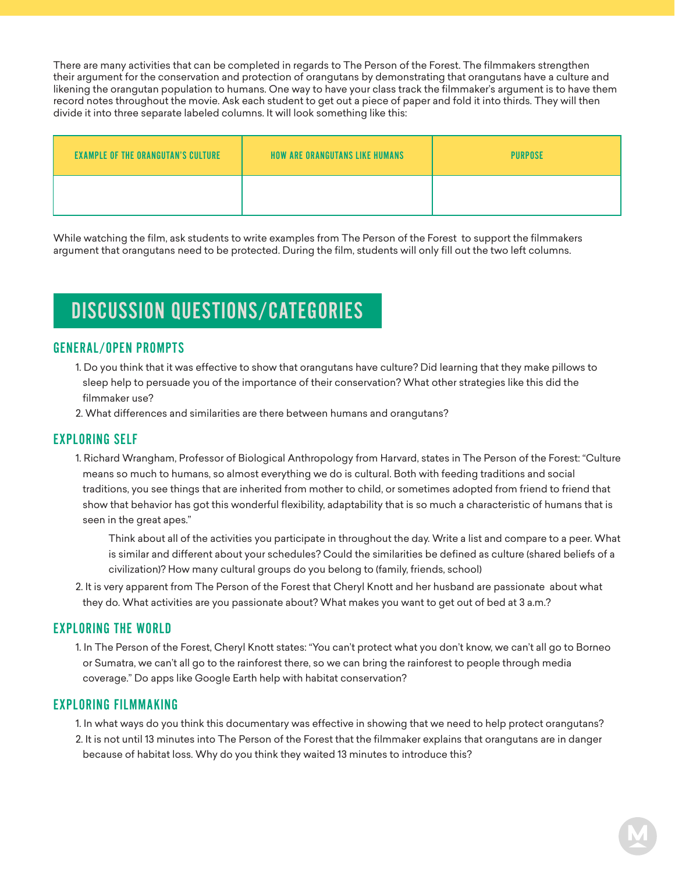There are many activities that can be completed in regards to The Person of the Forest. The filmmakers strengthen their argument for the conservation and protection of orangutans by demonstrating that orangutans have a culture and likening the orangutan population to humans. One way to have your class track the filmmaker's argument is to have them record notes throughout the movie. Ask each student to get out a piece of paper and fold it into thirds. They will then divide it into three separate labeled columns. It will look something like this:

| <b>EXAMPLE OF THE ORANGUTAN'S CULTURE</b> | <b>HOW ARE ORANGUTANS LIKE HUMANS</b> | <b>PURPOSE</b> |
|-------------------------------------------|---------------------------------------|----------------|
|                                           |                                       |                |

While watching the film, ask students to write examples from The Person of the Forest to support the filmmakers argument that orangutans need to be protected. During the film, students will only fill out the two left columns.

## DISCUSSION QUESTIONS/CATEGORIES

## GENERAL/OPEN PROMPTS

- 1. Do you think that it was effective to show that orangutans have culture? Did learning that they make pillows to sleep help to persuade you of the importance of their conservation? What other strategies like this did the filmmaker use?
- 2. What differences and similarities are there between humans and orangutans?

## EXPLORING SELF

- 1. Richard Wrangham, Professor of Biological Anthropology from Harvard, states in The Person of the Forest: "Culture means so much to humans, so almost everything we do is cultural. Both with feeding traditions and social traditions, you see things that are inherited from mother to child, or sometimes adopted from friend to friend that show that behavior has got this wonderful flexibility, adaptability that is so much a characteristic of humans that is seen in the great apes."
	- Think about all of the activities you participate in throughout the day. Write a list and compare to a peer. What is similar and different about your schedules? Could the similarities be defined as culture (shared beliefs of a civilization)? How many cultural groups do you belong to (family, friends, school)
- 2. It is very apparent from The Person of the Forest that Cheryl Knott and her husband are passionate about what they do. What activities are you passionate about? What makes you want to get out of bed at 3 a.m.?

## EXPLORING THE WORLD

1. In The Person of the Forest, Cheryl Knott states: "You can't protect what you don't know, we can't all go to Borneo or Sumatra, we can't all go to the rainforest there, so we can bring the rainforest to people through media coverage." Do apps like Google Earth help with habitat conservation?

## EXPLORING FILMMAKING

1. In what ways do you think this documentary was effective in showing that we need to help protect orangutans? 2. It is not until 13 minutes into The Person of the Forest that the filmmaker explains that orangutans are in danger because of habitat loss. Why do you think they waited 13 minutes to introduce this?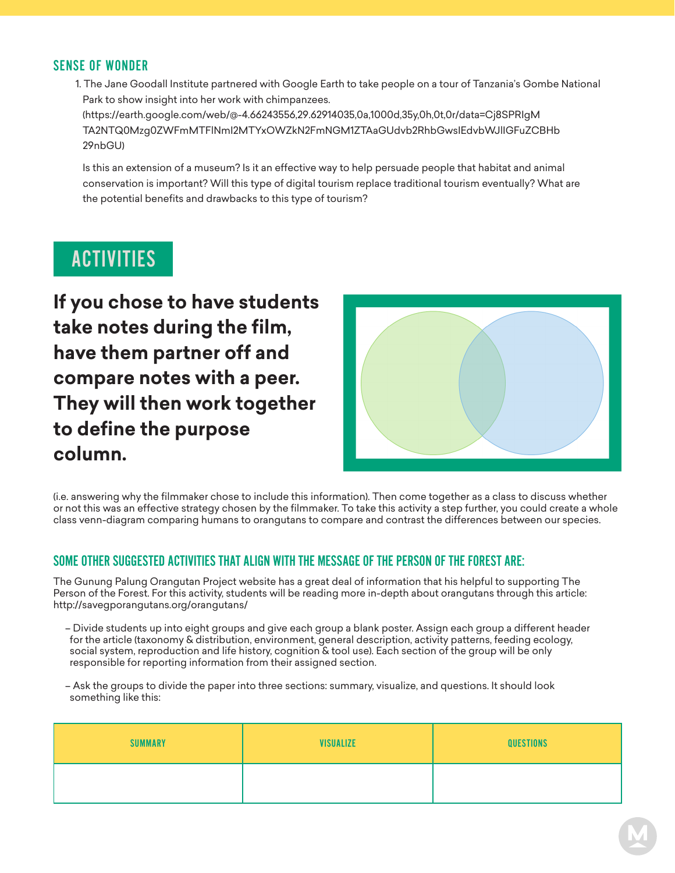## SENSE OF WONDER

1. The Jane Goodall Institute partnered with Google Earth to take people on a tour of Tanzania's Gombe National Park to show insight into her work with chimpanzees. (https://earth.google.com/web/@-4.66243556,29.62914035,0a,1000d,35y,0h,0t,0r/data=Cj8SPRIgM

 TA2NTQ0Mzg0ZWFmMTFlNmI2MTYxOWZkN2FmNGM1ZTAaGUdvb2RhbGwsIEdvbWJlIGFuZCBHb 29nbGU)

 Is this an extension of a museum? Is it an effective way to help persuade people that habitat and animal conservation is important? Will this type of digital tourism replace traditional tourism eventually? What are the potential benefits and drawbacks to this type of tourism?

## ACTIVITIES

**If you chose to have students take notes during the film, have them partner off and compare notes with a peer. They will then work together to define the purpose column.**



(i.e. answering why the filmmaker chose to include this information). Then come together as a class to discuss whether or not this was an effective strategy chosen by the filmmaker. To take this activity a step further, you could create a whole class venn-diagram comparing humans to orangutans to compare and contrast the differences between our species.

## SOME OTHER SUGGESTED ACTIVITIES THAT ALIGN WITH THE MESSAGE OF THE PERSON OF THE FOREST ARE:

The Gunung Palung Orangutan Project website has a great deal of information that his helpful to supporting The Person of the Forest. For this activity, students will be reading more in-depth about orangutans through this article: http://savegporangutans.org/orangutans/

- Divide students up into eight groups and give each group a blank poster. Assign each group a different header for the article (taxonomy & distribution, environment, general description, activity patterns, feeding ecology, social system, reproduction and life history, cognition & tool use). Each section of the group will be only responsible for reporting information from their assigned section.
- Ask the groups to divide the paper into three sections: summary, visualize, and questions. It should look something like this:

| <b>SUMMARY</b> | <b>VISUALIZE</b> | <b>QUESTIONS</b> |
|----------------|------------------|------------------|
|                |                  |                  |